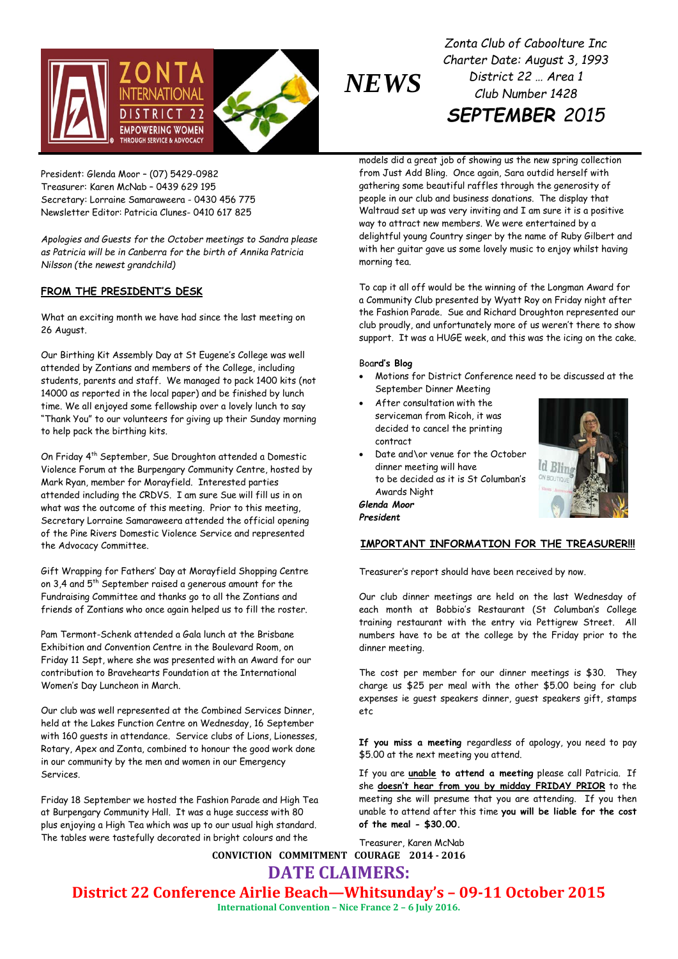

*Zonta Club of Caboolture Inc Charter Date: August 3, 1993 District 22 … Area 1 Club Number 1428 SEPTEMBER 2015*

President: Glenda Moor – (07) 5429-0982 Treasurer: Karen McNab – 0439 629 195 Secretary: Lorraine Samaraweera - 0430 456 775 Newsletter Editor: Patricia Clunes- 0410 617 825

*Apologies and Guests for the October meetings to Sandra please as Patricia will be in Canberra for the birth of Annika Patricia Nilsson (the newest grandchild)*

## **FROM THE PRESIDENT'S DESK**

What an exciting month we have had since the last meeting on 26 August.

Our Birthing Kit Assembly Day at St Eugene's College was well attended by Zontians and members of the College, including students, parents and staff. We managed to pack 1400 kits (not 14000 as reported in the local paper) and be finished by lunch time. We all enjoyed some fellowship over a lovely lunch to say "Thank You" to our volunteers for giving up their Sunday morning to help pack the birthing kits.

On Friday 4th September, Sue Droughton attended a Domestic Violence Forum at the Burpengary Community Centre, hosted by Mark Ryan, member for Morayfield. Interested parties attended including the CRDVS. I am sure Sue will fill us in on what was the outcome of this meeting. Prior to this meeting, Secretary Lorraine Samaraweera attended the official opening of the Pine Rivers Domestic Violence Service and represented the Advocacy Committee.

Gift Wrapping for Fathers' Day at Morayfield Shopping Centre on 3,4 and 5<sup>th</sup> September raised a generous amount for the Fundraising Committee and thanks go to all the Zontians and friends of Zontians who once again helped us to fill the roster.

Pam Termont-Schenk attended a Gala lunch at the Brisbane Exhibition and Convention Centre in the Boulevard Room, on Friday 11 Sept, where she was presented with an Award for our contribution to Bravehearts Foundation at the International Women's Day Luncheon in March.

Our club was well represented at the Combined Services Dinner, held at the Lakes Function Centre on Wednesday, 16 September with 160 guests in attendance. Service clubs of Lions, Lionesses, Rotary, Apex and Zonta, combined to honour the good work done in our community by the men and women in our Emergency Services.

Friday 18 September we hosted the Fashion Parade and High Tea at Burpengary Community Hall. It was a huge success with 80 plus enjoying a High Tea which was up to our usual high standard. The tables were tastefully decorated in bright colours and the

models did a great job of showing us the new spring collection from Just Add Bling. Once again, Sara outdid herself with gathering some beautiful raffles through the generosity of people in our club and business donations. The display that Waltraud set up was very inviting and I am sure it is a positive way to attract new members. We were entertained by a delightful young Country singer by the name of Ruby Gilbert and with her guitar gave us some lovely music to enjoy whilst having morning tea.

To cap it all off would be the winning of the Longman Award for a Community Club presented by Wyatt Roy on Friday night after the Fashion Parade. Sue and Richard Droughton represented our club proudly, and unfortunately more of us weren't there to show support. It was a HUGE week, and this was the icing on the cake.

#### Boa**rd's Blog**

- Motions for District Conference need to be discussed at the September Dinner Meeting
- After consultation with the serviceman from Ricoh, it was decided to cancel the printing contract
- Date and\or venue for the October dinner meeting will have to be decided as it is St Columban's Awards Night



*Glenda Moor President*

### **IMPORTANT INFORMATION FOR THE TREASURER!!!**

Treasurer's report should have been received by now.

Our club dinner meetings are held on the last Wednesday of each month at Bobbio's Restaurant (St Columban's College training restaurant with the entry via Pettigrew Street. All numbers have to be at the college by the Friday prior to the dinner meeting.

The cost per member for our dinner meetings is \$30. They charge us \$25 per meal with the other \$5.00 being for club expenses ie guest speakers dinner, guest speakers gift, stamps etc

**If you miss a meeting** regardless of apology, you need to pay \$5.00 at the next meeting you attend.

If you are **unable to attend a meeting** please call Patricia. If she **doesn't hear from you by midday FRIDAY PRIOR** to the meeting she will presume that you are attending. If you then unable to attend after this time **you will be liable for the cost of the meal - \$30.00.**

**CONVICTION COMMITMENT COURAGE 2014 - 2016** Treasurer, Karen McNab

**DATE CLAIMERS:**

**District 22 Conference Airlie Beach—Whitsunday's – 09-11 October 2015**

**International Convention – Nice France 2 – 6 July 2016.**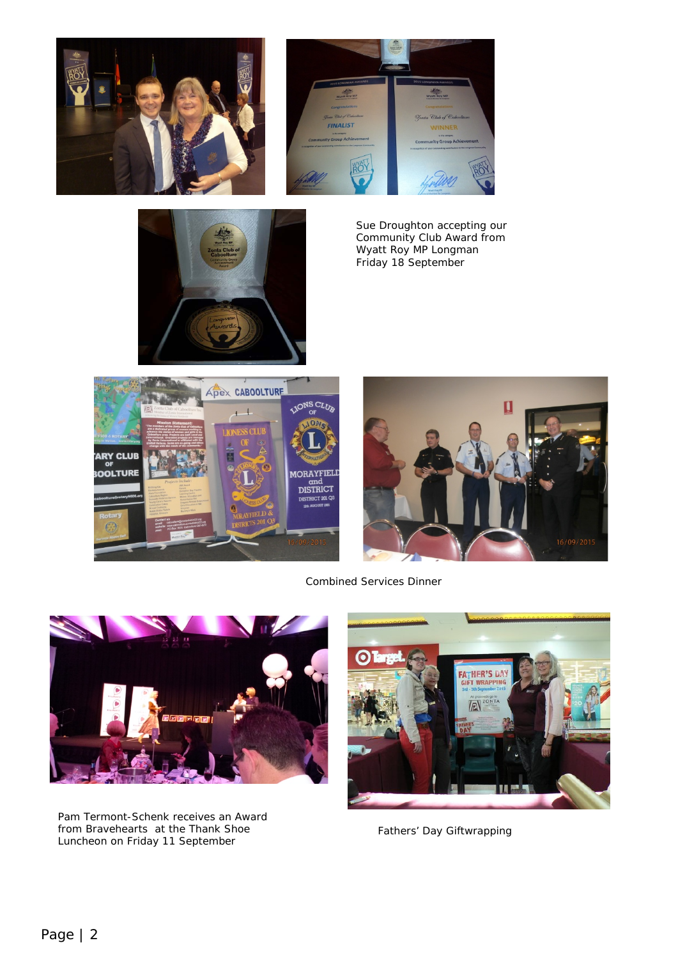





*Sue Droughton accepting our Community Club Award from Wyatt Roy MP Longman Friday 18 September* 





Combined Services Dinner



*Pam Termont-Schenk receives an Award from Bravehearts at the Thank Shoe Luncheon on Friday 11 September*



Fathers' Day Giftwrapping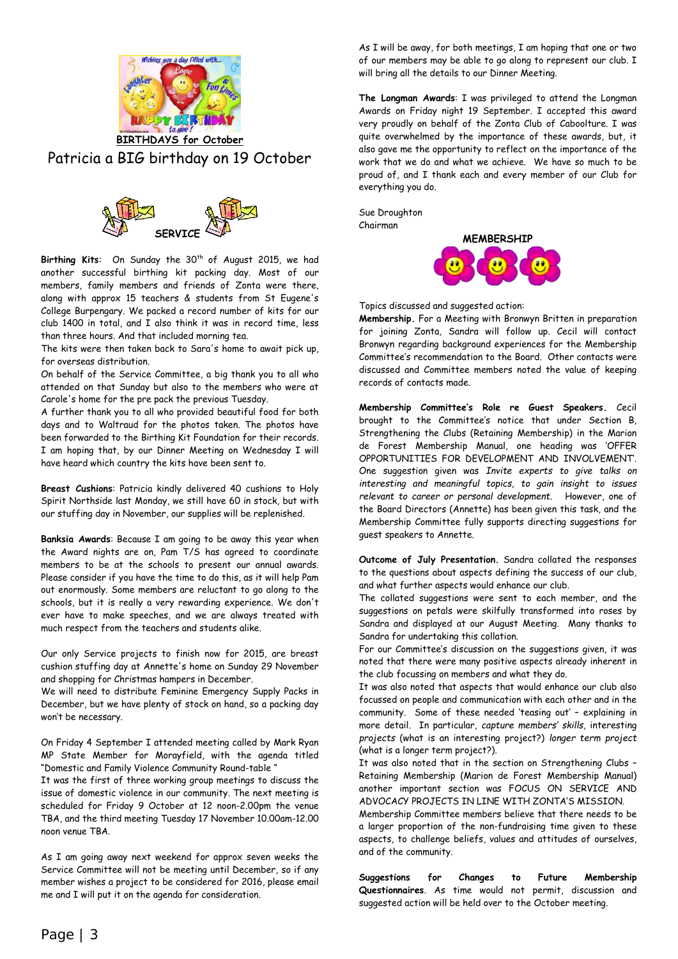

# Patricia a BIG birthday on 19 October



Birthing Kits: On Sunday the 30<sup>th</sup> of August 2015, we had another successful birthing kit packing day. Most of our members, family members and friends of Zonta were there, along with approx 15 teachers & students from St Eugene's College Burpengary. We packed a record number of kits for our club 1400 in total, and I also think it was in record time, less than three hours. And that included morning tea.

The kits were then taken back to Sara's home to await pick up, for overseas distribution.

On behalf of the Service Committee, a big thank you to all who attended on that Sunday but also to the members who were at Carole's home for the pre pack the previous Tuesday.

A further thank you to all who provided beautiful food for both days and to Waltraud for the photos taken. The photos have been forwarded to the Birthing Kit Foundation for their records. I am hoping that, by our Dinner Meeting on Wednesday I will have heard which country the kits have been sent to.

**Breast Cushions**: Patricia kindly delivered 40 cushions to Holy Spirit Northside last Monday, we still have 60 in stock, but with our stuffing day in November, our supplies will be replenished.

**Banksia Awards**: Because I am going to be away this year when the Award nights are on, Pam T/S has agreed to coordinate members to be at the schools to present our annual awards. Please consider if you have the time to do this, as it will help Pam out enormously. Some members are reluctant to go along to the schools, but it is really a very rewarding experience. We don't ever have to make speeches, and we are always treated with much respect from the teachers and students alike.

Our only Service projects to finish now for 2015, are breast cushion stuffing day at Annette's home on Sunday 29 November and shopping for Christmas hampers in December.

We will need to distribute Feminine Emergency Supply Packs in December, but we have plenty of stock on hand, so a packing day won't be necessary.

On Friday 4 September I attended meeting called by Mark Ryan MP State Member for Morayfield, with the agenda titled "Domestic and Family Violence Community Round-table "

It was the first of three working group meetings to discuss the issue of domestic violence in our community. The next meeting is scheduled for Friday 9 October at 12 noon-2.00pm the venue TBA, and the third meeting Tuesday 17 November 10.00am-12.00 noon venue TBA.

As I am going away next weekend for approx seven weeks the Service Committee will not be meeting until December, so if any member wishes a project to be considered for 2016, please email me and I will put it on the agenda for consideration.

As I will be away, for both meetings, I am hoping that one or two of our members may be able to go along to represent our club. I will bring all the details to our Dinner Meeting.

**The Longman Awards**: I was privileged to attend the Longman Awards on Friday night 19 September. I accepted this award very proudly on behalf of the Zonta Club of Caboolture. I was quite overwhelmed by the importance of these awards, but, it also gave me the opportunity to reflect on the importance of the work that we do and what we achieve. We have so much to be proud of, and I thank each and every member of our Club for everything you do.

Sue Droughton Chairman



Topics discussed and suggested action:

**Membership.** For a Meeting with Bronwyn Britten in preparation for joining Zonta, Sandra will follow up. Cecil will contact Bronwyn regarding background experiences for the Membership Committee's recommendation to the Board. Other contacts were discussed and Committee members noted the value of keeping records of contacts made.

**Membership Committee's Role re Guest Speakers.** Cecil brought to the Committee's notice that under Section B, Strengthening the Clubs (Retaining Membership) in the Marion de Forest Membership Manual, one heading was 'OFFER OPPORTUNITIES FOR DEVELOPMENT AND INVOLVEMENT'. One suggestion given was *Invite experts to give talks on interesting and meaningful topics, to gain insight to issues relevant to career or personal development.* However, one of the Board Directors (Annette) has been given this task, and the Membership Committee fully supports directing suggestions for guest speakers to Annette.

**Outcome of July Presentation.** Sandra collated the responses to the questions about aspects defining the success of our club, and what further aspects would enhance our club.

The collated suggestions were sent to each member, and the suggestions on petals were skilfully transformed into roses by Sandra and displayed at our August Meeting. Many thanks to Sandra for undertaking this collation.

For our Committee's discussion on the suggestions given, it was noted that there were many positive aspects already inherent in the club focussing on members and what they do.

It was also noted that aspects that would enhance our club also focussed on people and communication with each other and in the community. Some of these needed 'teasing out' – explaining in more detail. In particular, *capture members' skills,* interesting *projects* (what is an interesting project?) *longer term project* (what is a longer term project?).

It was also noted that in the section on Strengthening Clubs – Retaining Membership (Marion de Forest Membership Manual) another important section was FOCUS ON SERVICE AND ADVOCACY PROJECTS IN LINE WITH ZONTA'S MISSION.

Membership Committee members believe that there needs to be a larger proportion of the non-fundraising time given to these aspects, to challenge beliefs, values and attitudes of ourselves, and of the community.

**Suggestions for Changes to Future Membership Questionnaires**. As time would not permit, discussion and suggested action will be held over to the October meeting.